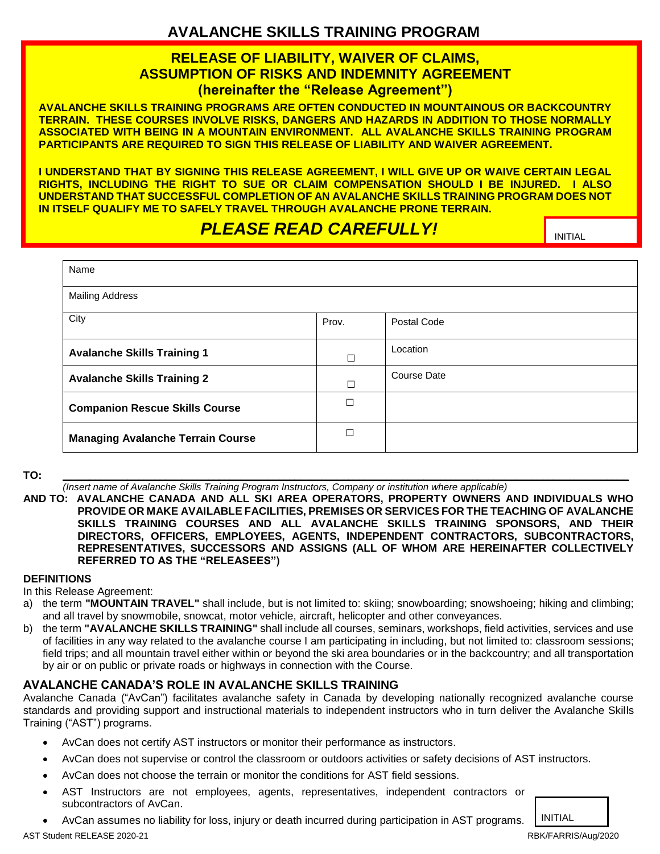## **AVALANCHE SKILLS TRAINING PROGRAM**

### **RELEASE OF LIABILITY, WAIVER OF CLAIMS, ASSUMPTION OF RISKS AND INDEMNITY AGREEMENT (hereinafter the "Release Agreement")**

**AVALANCHE SKILLS TRAINING PROGRAMS ARE OFTEN CONDUCTED IN MOUNTAINOUS OR BACKCOUNTRY TERRAIN. THESE COURSES INVOLVE RISKS, DANGERS AND HAZARDS IN ADDITION TO THOSE NORMALLY ASSOCIATED WITH BEING IN A MOUNTAIN ENVIRONMENT. ALL AVALANCHE SKILLS TRAINING PROGRAM PARTICIPANTS ARE REQUIRED TO SIGN THIS RELEASE OF LIABILITY AND WAIVER AGREEMENT.** 

**I UNDERSTAND THAT BY SIGNING THIS RELEASE AGREEMENT, I WILL GIVE UP OR WAIVE CERTAIN LEGAL RIGHTS, INCLUDING THE RIGHT TO SUE OR CLAIM COMPENSATION SHOULD I BE INJURED. I ALSO UNDERSTAND THAT SUCCESSFUL COMPLETION OF AN AVALANCHE SKILLS TRAINING PROGRAM DOES NOT IN ITSELF QUALIFY ME TO SAFELY TRAVEL THROUGH AVALANCHE PRONE TERRAIN.** 

# **PLEASE READ CAREFULLY! INITIAL**

| Name                                     |               |                    |
|------------------------------------------|---------------|--------------------|
| <b>Mailing Address</b>                   |               |                    |
| City                                     | Prov.         | Postal Code        |
| <b>Avalanche Skills Training 1</b>       | $\mathcal{L}$ | Location           |
| <b>Avalanche Skills Training 2</b>       | П             | <b>Course Date</b> |
| <b>Companion Rescue Skills Course</b>    | П             |                    |
| <b>Managing Avalanche Terrain Course</b> | П             |                    |

**TO: \_\_\_\_\_\_\_\_\_\_\_\_\_\_\_\_\_\_\_\_\_\_\_\_\_\_\_\_\_\_\_\_\_\_\_\_\_\_\_\_\_\_\_\_\_\_\_\_\_\_\_\_\_\_\_\_\_\_\_\_\_\_\_\_\_\_\_\_\_\_\_\_\_\_\_\_\_\_\_\_\_\_\_\_\_\_\_\_\_\_\_\_\_\_\_\_\_\_\_\_\_\_\_\_\_** *(Insert name of Avalanche Skills Training Program Instructors, Company or institution where applicable)*

**AND TO: AVALANCHE CANADA AND ALL SKI AREA OPERATORS, PROPERTY OWNERS AND INDIVIDUALS WHO PROVIDE OR MAKE AVAILABLE FACILITIES, PREMISES OR SERVICES FOR THE TEACHING OF AVALANCHE SKILLS TRAINING COURSES AND ALL AVALANCHE SKILLS TRAINING SPONSORS, AND THEIR DIRECTORS, OFFICERS, EMPLOYEES, AGENTS, INDEPENDENT CONTRACTORS, SUBCONTRACTORS, REPRESENTATIVES, SUCCESSORS AND ASSIGNS (ALL OF WHOM ARE HEREINAFTER COLLECTIVELY REFERRED TO AS THE "RELEASEES")**

#### **DEFINITIONS**

In this Release Agreement:

- a) the term **"MOUNTAIN TRAVEL"** shall include, but is not limited to: skiing; snowboarding; snowshoeing; hiking and climbing; and all travel by snowmobile, snowcat, motor vehicle, aircraft, helicopter and other conveyances.
- b) the term **"AVALANCHE SKILLS TRAINING"** shall include all courses, seminars, workshops, field activities, services and use of facilities in any way related to the avalanche course I am participating in including, but not limited to: classroom sessions; field trips; and all mountain travel either within or beyond the ski area boundaries or in the backcountry; and all transportation by air or on public or private roads or highways in connection with the Course.

#### **AVALANCHE CANADA'S ROLE IN AVALANCHE SKILLS TRAINING**

Avalanche Canada ("AvCan") facilitates avalanche safety in Canada by developing nationally recognized avalanche course standards and providing support and instructional materials to independent instructors who in turn deliver the Avalanche Skills Training ("AST") programs.

- AvCan does not certify AST instructors or monitor their performance as instructors.
- AvCan does not supervise or control the classroom or outdoors activities or safety decisions of AST instructors.
- AvCan does not choose the terrain or monitor the conditions for AST field sessions.
- AST Instructors are not employees, agents, representatives, independent contractors or subcontractors of AvCan.
- AvCan assumes no liability for loss, injury or death incurred during participation in AST programs. INITIAL

AST Student RELEASE 2020-21 RBK/FARRIS/Aug/2020